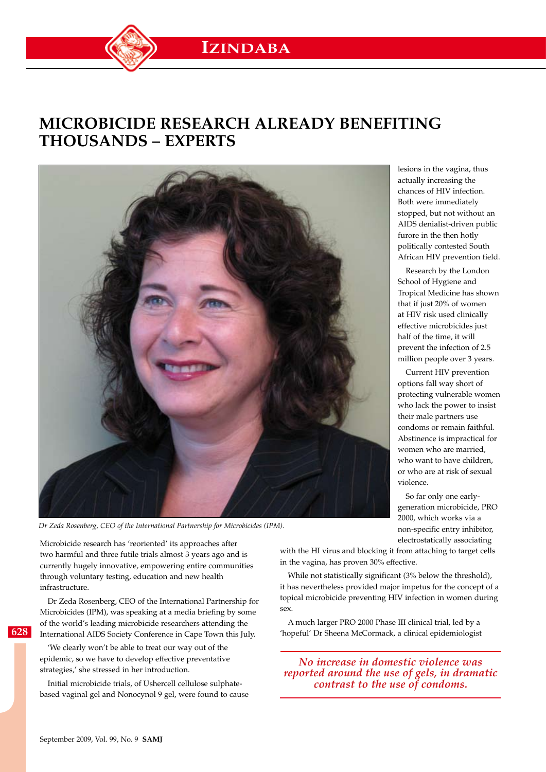## **Microbicide research already benefiting thousands – experts**



*Dr Zeda Rosenberg, CEO of the International Partnership for Microbicides (IPM).*

Microbicide research has 'reoriented' its approaches after two harmful and three futile trials almost 3 years ago and is currently hugely innovative, empowering entire communities through voluntary testing, education and new health infrastructure.

Dr Zeda Rosenberg, CEO of the International Partnership for Microbicides (IPM), was speaking at a media briefing by some of the world's leading microbicide researchers attending the International AIDS Society Conference in Cape Town this July.

'We clearly won't be able to treat our way out of the epidemic, so we have to develop effective preventative strategies,' she stressed in her introduction.

Initial microbicide trials, of Ushercell cellulose sulphatebased vaginal gel and Nonocynol 9 gel, were found to cause

lesions in the vagina, thus actually increasing the chances of HIV infection. Both were immediately stopped, but not without an AIDS denialist-driven public furore in the then hotly politically contested South African HIV prevention field.

Research by the London School of Hygiene and Tropical Medicine has shown that if just 20% of women at HIV risk used clinically effective microbicides just half of the time, it will prevent the infection of 2.5 million people over 3 years.

Current HIV prevention options fall way short of protecting vulnerable women who lack the power to insist their male partners use condoms or remain faithful. Abstinence is impractical for women who are married, who want to have children, or who are at risk of sexual violence.

So far only one earlygeneration microbicide, PRO 2000, which works via a non-specific entry inhibitor, electrostatically associating

with the HI virus and blocking it from attaching to target cells in the vagina, has proven 30% effective.

While not statistically significant (3% below the threshold), it has nevertheless provided major impetus for the concept of a topical microbicide preventing HIV infection in women during sex.

A much larger PRO 2000 Phase III clinical trial, led by a 'hopeful' Dr Sheena McCormack, a clinical epidemiologist

*no increase in domestic violence was reported around the use of gels, in dramatic contrast to the use of condoms.*

**628**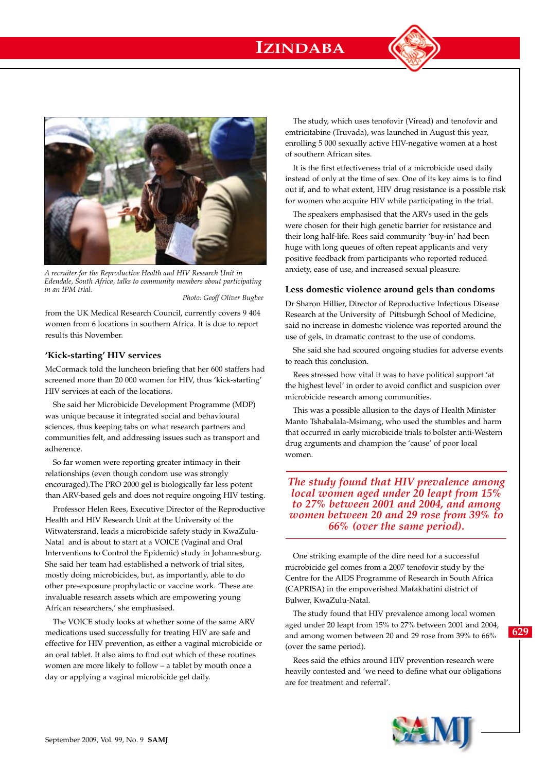## **IZINDABA**



*A recruiter for the Reproductive Health and HIV Research Unit in Edendale, South Africa, talks to community members about participating in an IPM trial.* 

 *Photo: Geoff Oliver Bugbee*

from the UK Medical Research Council, currently covers 9 404 women from 6 locations in southern Africa. It is due to report results this November.

## **'Kick-starting' HIV services**

McCormack told the luncheon briefing that her 600 staffers had screened more than 20 000 women for HIV, thus 'kick-starting' HIV services at each of the locations.

She said her Microbicide Development Programme (MDP) was unique because it integrated social and behavioural sciences, thus keeping tabs on what research partners and communities felt, and addressing issues such as transport and adherence.

So far women were reporting greater intimacy in their relationships (even though condom use was strongly encouraged).The PRO 2000 gel is biologically far less potent than ARV-based gels and does not require ongoing HIV testing.

Professor Helen Rees, Executive Director of the Reproductive Health and HIV Research Unit at the University of the Witwatersrand, leads a microbicide safety study in KwaZulu-Natal and is about to start at a VOICE (Vaginal and Oral Interventions to Control the Epidemic) study in Johannesburg. She said her team had established a network of trial sites, mostly doing microbicides, but, as importantly, able to do other pre-exposure prophylactic or vaccine work. 'These are invaluable research assets which are empowering young African researchers,' she emphasised.

The VOICE study looks at whether some of the same ARV medications used successfully for treating HIV are safe and effective for HIV prevention, as either a vaginal microbicide or an oral tablet. It also aims to find out which of these routines women are more likely to follow – a tablet by mouth once a day or applying a vaginal microbicide gel daily.

The study, which uses tenofovir (Viread) and tenofovir and emtricitabine (Truvada), was launched in August this year, enrolling 5 000 sexually active HIV-negative women at a host of southern African sites.

It is the first effectiveness trial of a microbicide used daily instead of only at the time of sex. One of its key aims is to find out if, and to what extent, HIV drug resistance is a possible risk for women who acquire HIV while participating in the trial.

The speakers emphasised that the ARVs used in the gels were chosen for their high genetic barrier for resistance and their long half-life. Rees said community 'buy-in' had been huge with long queues of often repeat applicants and very positive feedback from participants who reported reduced anxiety, ease of use, and increased sexual pleasure.

## **Less domestic violence around gels than condoms**

Dr Sharon Hillier, Director of Reproductive Infectious Disease Research at the University of Pittsburgh School of Medicine, said no increase in domestic violence was reported around the use of gels, in dramatic contrast to the use of condoms.

She said she had scoured ongoing studies for adverse events to reach this conclusion.

Rees stressed how vital it was to have political support 'at the highest level' in order to avoid conflict and suspicion over microbicide research among communities.

This was a possible allusion to the days of Health Minister Manto Tshabalala-Msimang, who used the stumbles and harm that occurred in early microbicide trials to bolster anti-Western drug arguments and champion the 'cause' of poor local women.

*The study found that HIV prevalence among local women aged under 20 leapt from 15% to 27% between 2001 and 2004, and among women between 20 and 29 rose from 39% to 66% (over the same period).*

One striking example of the dire need for a successful microbicide gel comes from a 2007 tenofovir study by the Centre for the AIDS Programme of Research in South Africa (CAPRISA) in the empoverished Mafakhatini district of Bulwer, KwaZulu-Natal.

The study found that HIV prevalence among local women aged under 20 leapt from 15% to 27% between 2001 and 2004, and among women between 20 and 29 rose from 39% to 66% (over the same period).

Rees said the ethics around HIV prevention research were heavily contested and 'we need to define what our obligations are for treatment and referral'.